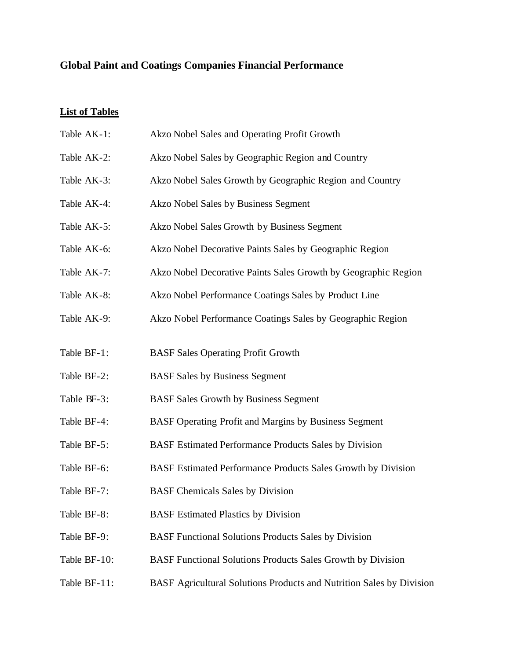## **Global Paint and Coatings Companies Financial Performance**

## **List of Tables**

| Table AK-1:  | Akzo Nobel Sales and Operating Profit Growth                         |
|--------------|----------------------------------------------------------------------|
| Table AK-2:  | Akzo Nobel Sales by Geographic Region and Country                    |
| Table AK-3:  | Akzo Nobel Sales Growth by Geographic Region and Country             |
| Table AK-4:  | Akzo Nobel Sales by Business Segment                                 |
| Table AK-5:  | Akzo Nobel Sales Growth by Business Segment                          |
| Table AK-6:  | Akzo Nobel Decorative Paints Sales by Geographic Region              |
| Table AK-7:  | Akzo Nobel Decorative Paints Sales Growth by Geographic Region       |
| Table AK-8:  | Akzo Nobel Performance Coatings Sales by Product Line                |
| Table AK-9:  | Akzo Nobel Performance Coatings Sales by Geographic Region           |
|              |                                                                      |
| Table BF-1:  | <b>BASF Sales Operating Profit Growth</b>                            |
| Table BF-2:  | <b>BASF Sales by Business Segment</b>                                |
| Table BF-3:  | <b>BASF Sales Growth by Business Segment</b>                         |
| Table BF-4:  | BASF Operating Profit and Margins by Business Segment                |
| Table BF-5:  | BASF Estimated Performance Products Sales by Division                |
| Table BF-6:  | BASF Estimated Performance Products Sales Growth by Division         |
| Table BF-7:  | <b>BASF Chemicals Sales by Division</b>                              |
| Table BF-8:  | <b>BASF</b> Estimated Plastics by Division                           |
| Table BF-9:  | <b>BASF Functional Solutions Products Sales by Division</b>          |
| Table BF-10: | <b>BASF Functional Solutions Products Sales Growth by Division</b>   |
| Table BF-11: | BASF Agricultural Solutions Products and Nutrition Sales by Division |
|              |                                                                      |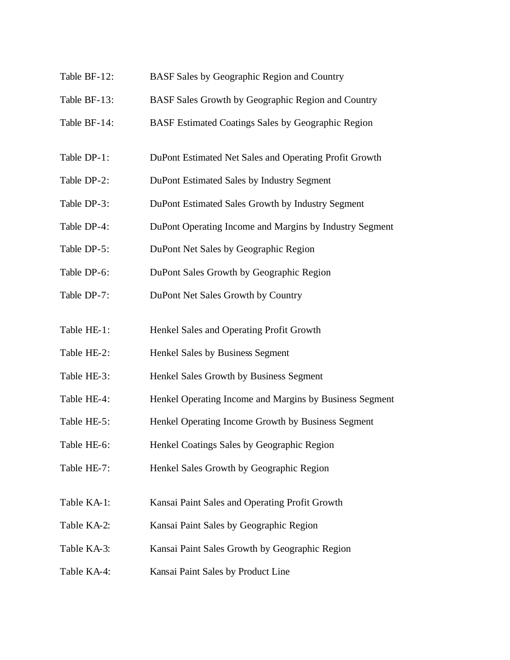- Table BF-12: BASF Sales by Geographic Region and Country
- Table BF-13: BASF Sales Growth by Geographic Region and Country
- Table BF-14: BASF Estimated Coatings Sales by Geographic Region
- Table DP-1: DuPont Estimated Net Sales and Operating Profit Growth
- Table DP-2: DuPont Estimated Sales by Industry Segment
- Table DP-3: DuPont Estimated Sales Growth by Industry Segment
- Table DP-4: DuPont Operating Income and Margins by Industry Segment
- Table DP-5: DuPont Net Sales by Geographic Region
- Table DP-6: DuPont Sales Growth by Geographic Region
- Table DP-7: DuPont Net Sales Growth by Country
- Table HE-1: Henkel Sales and Operating Profit Growth
- Table HE-2: Henkel Sales by Business Segment
- Table HE-3: Henkel Sales Growth by Business Segment
- Table HE-4: Henkel Operating Income and Margins by Business Segment
- Table HE-5: Henkel Operating Income Growth by Business Segment
- Table HE-6: Henkel Coatings Sales by Geographic Region
- Table HE-7: Henkel Sales Growth by Geographic Region
- Table KA-1: Kansai Paint Sales and Operating Profit Growth
- Table KA-2: Kansai Paint Sales by Geographic Region
- Table KA-3: Kansai Paint Sales Growth by Geographic Region
- Table KA-4: Kansai Paint Sales by Product Line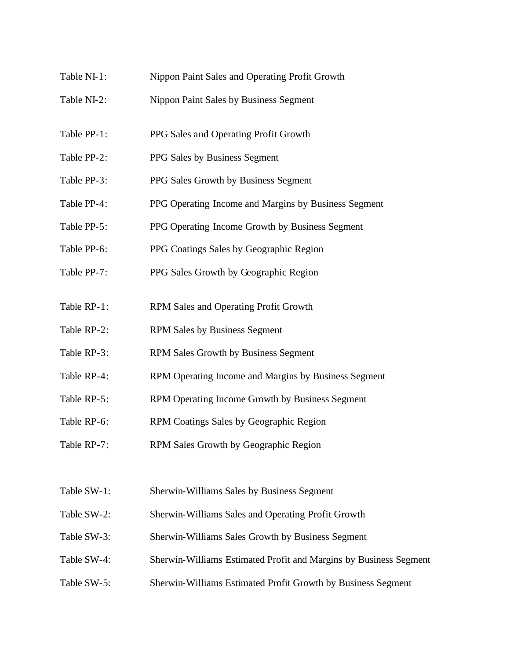- Table NI-1: Nippon Paint Sales and Operating Profit Growth
- Table NI-2: Nippon Paint Sales by Business Segment
- Table PP-1: PPG Sales and Operating Profit Growth
- Table PP-2: PPG Sales by Business Segment
- Table PP-3: PPG Sales Growth by Business Segment
- Table PP-4: PPG Operating Income and Margins by Business Segment
- Table PP-5: PPG Operating Income Growth by Business Segment
- Table PP-6: PPG Coatings Sales by Geographic Region
- Table PP-7: PPG Sales Growth by Geographic Region
- Table RP-1: RPM Sales and Operating Profit Growth
- Table RP-2: RPM Sales by Business Segment
- Table RP-3: RPM Sales Growth by Business Segment
- Table RP-4: RPM Operating Income and Margins by Business Segment
- Table RP-5: RPM Operating Income Growth by Business Segment
- Table RP-6: RPM Coatings Sales by Geographic Region
- Table RP-7: RPM Sales Growth by Geographic Region
- Table SW-1: Sherwin-Williams Sales by Business Segment
- Table SW-2: Sherwin-Williams Sales and Operating Profit Growth
- Table SW-3: Sherwin-Williams Sales Growth by Business Segment
- Table SW-4: Sherwin-Williams Estimated Profit and Margins by Business Segment
- Table SW-5: Sherwin-Williams Estimated Profit Growth by Business Segment